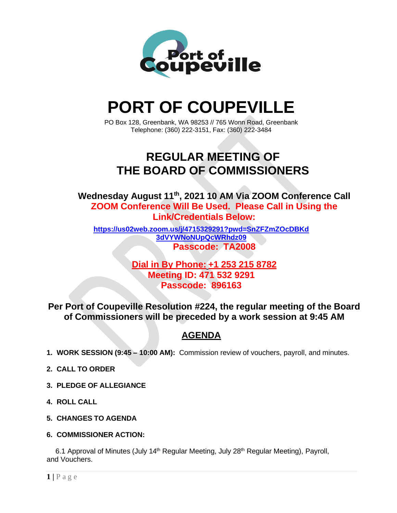

# **PORT OF COUPEVILLE**

PO Box 128, Greenbank, WA 98253 // 765 Wonn Road, Greenbank Telephone: (360) 222-3151, Fax: (360) 222-3484

## **REGULAR MEETING OF THE BOARD OF COMMISSIONERS**

**Wednesday August 11th , 2021 10 AM Via ZOOM Conference Call ZOOM Conference Will Be Used. Please Call in Using the Link/Credentials Below:**

**[https://us02web.zoom.us/j/4715329291?pwd=SnZFZmZOcDBKd](https://us02web.zoom.us/j/4715329291?pwd=SnZFZmZOcDBKd3dVYWNoNUpQcWRhdz09) [3dVYWNoNUpQcWRhdz09](https://us02web.zoom.us/j/4715329291?pwd=SnZFZmZOcDBKd3dVYWNoNUpQcWRhdz09) Passcode: TA2008**

> **Dial in By Phone: +1 253 215 8782 Meeting ID: 471 532 9291 Passcode: 896163**

**Per Port of Coupeville Resolution #224, the regular meeting of the Board of Commissioners will be preceded by a work session at 9:45 AM**

### **AGENDA**

- **1. WORK SESSION (9:45 – 10:00 AM):** Commission review of vouchers, payroll, and minutes.
- **2. CALL TO ORDER**
- **3. PLEDGE OF ALLEGIANCE**
- **4. ROLL CALL**
- **5. CHANGES TO AGENDA**
- **6. COMMISSIONER ACTION:**

6.1 Approval of Minutes (July 14<sup>th</sup> Regular Meeting, July 28<sup>th</sup> Regular Meeting), Payroll, and Vouchers.